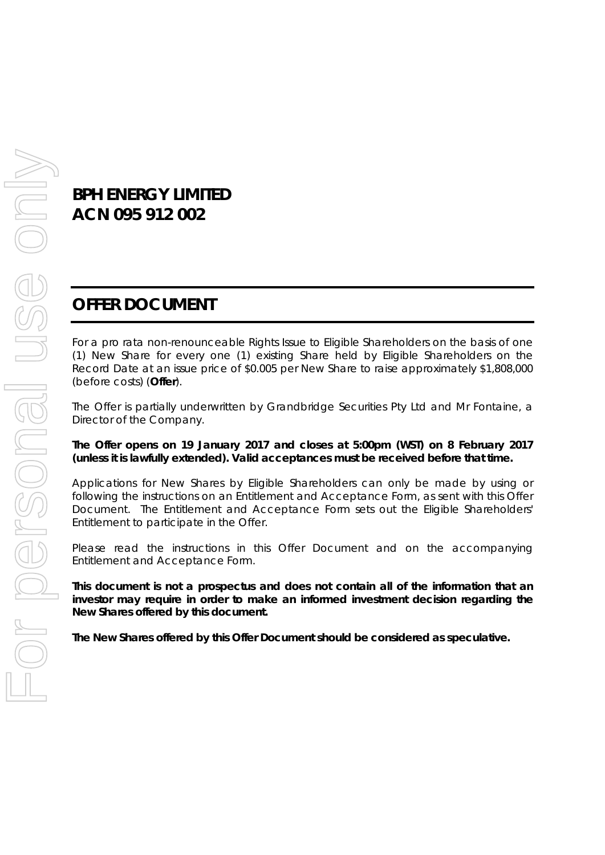# **BPH ENERGY LIMITED ACN 095 912 002**

# **OFFER DOCUMENT**

For a pro rata non-renounceable Rights Issue to Eligible Shareholders on the basis of one (1) New Share for every one (1) existing Share held by Eligible Shareholders on the Record Date at an issue price of \$0.005 per New Share to raise approximately \$1,808,000 (before costs) (**Offer**).

The Offer is partially underwritten by Grandbridge Securities Pty Ltd and Mr Fontaine, a Director of the Company.

#### **The Offer opens on 19 January 2017 and closes at 5:00pm (WST) on 8 February 2017 (unless it is lawfully extended). Valid acceptances must be received before that time.**

Applications for New Shares by Eligible Shareholders can only be made by using or following the instructions on an Entitlement and Acceptance Form, as sent with this Offer Document. The Entitlement and Acceptance Form sets out the Eligible Shareholders' Entitlement to participate in the Offer.

Please read the instructions in this Offer Document and on the accompanying Entitlement and Acceptance Form.

*This document is not a prospectus and does not contain all of the information that an investor may require in order to make an informed investment decision regarding the New Shares offered by this document.* 

*The New Shares offered by this Offer Document should be considered as speculative.*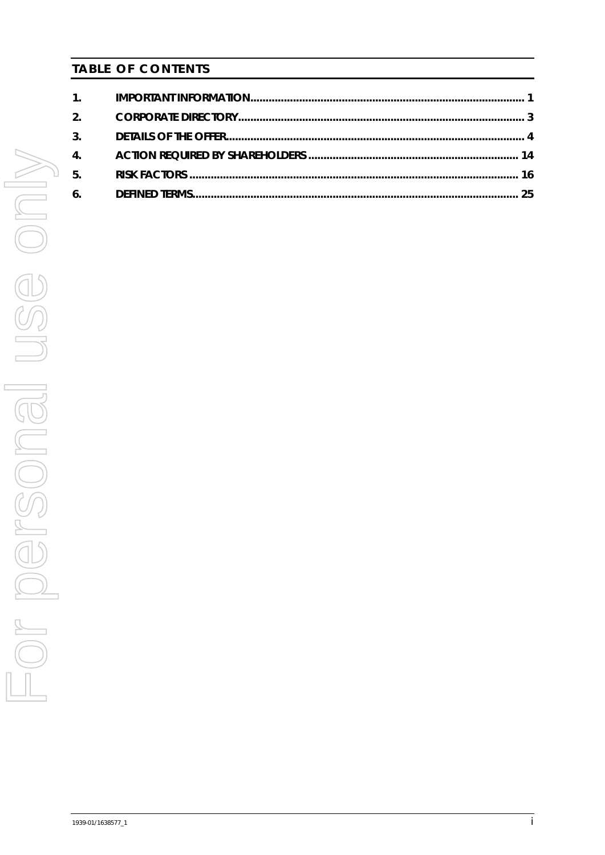# **TABLE OF CONTENTS**

| $\overline{4}$ . |  |
|------------------|--|
| 5.               |  |
|                  |  |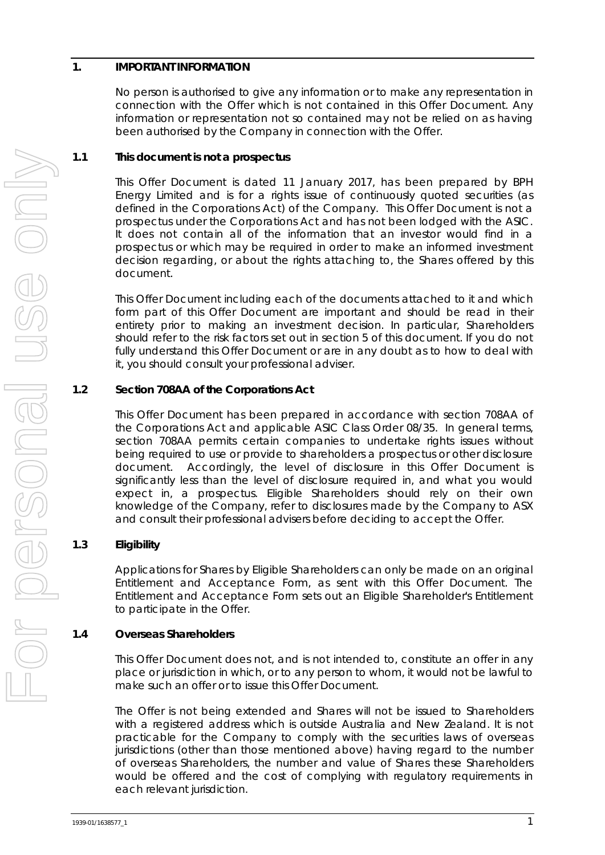# <span id="page-2-0"></span>**1. IMPORTANT INFORMATION**

No person is authorised to give any information or to make any representation in connection with the Offer which is not contained in this Offer Document. Any information or representation not so contained may not be relied on as having been authorised by the Company in connection with the Offer.

# **1.1 This document is not a prospectus**

This Offer Document is dated 11 January 2017, has been prepared by BPH Energy Limited and is for a rights issue of continuously quoted securities (as defined in the Corporations Act) of the Company. This Offer Document is not a prospectus under the Corporations Act and has not been lodged with the ASIC. It does not contain all of the information that an investor would find in a prospectus or which may be required in order to make an informed investment decision regarding, or about the rights attaching to, the Shares offered by this document.

This Offer Document including each of the documents attached to it and which form part of this Offer Document are important and should be read in their entirety prior to making an investment decision. In particular, Shareholders should refer to the risk factors set out in section [5](#page-17-0) of this document. If you do not fully understand this Offer Document or are in any doubt as to how to deal with it, you should consult your professional adviser.

# **1.2 Section 708AA of the Corporations Act**

This Offer Document has been prepared in accordance with section 708AA of the Corporations Act and applicable ASIC Class Order 08/35. In general terms, section 708AA permits certain companies to undertake rights issues without being required to use or provide to shareholders a prospectus or other disclosure document. Accordingly, the level of disclosure in this Offer Document is significantly less than the level of disclosure required in, and what you would expect in, a prospectus. Eligible Shareholders should rely on their own knowledge of the Company, refer to disclosures made by the Company to ASX and consult their professional advisers before deciding to accept the Offer.

# **1.3 Eligibility**

Applications for Shares by Eligible Shareholders can only be made on an original Entitlement and Acceptance Form, as sent with this Offer Document. The Entitlement and Acceptance Form sets out an Eligible Shareholder's Entitlement to participate in the Offer.

#### **1.4 Overseas Shareholders**

This Offer Document does not, and is not intended to, constitute an offer in any place or jurisdiction in which, or to any person to whom, it would not be lawful to make such an offer or to issue this Offer Document.

The Offer is not being extended and Shares will not be issued to Shareholders with a registered address which is outside Australia and New Zealand. It is not practicable for the Company to comply with the securities laws of overseas jurisdictions (other than those mentioned above) having regard to the number of overseas Shareholders, the number and value of Shares these Shareholders would be offered and the cost of complying with regulatory requirements in each relevant jurisdiction.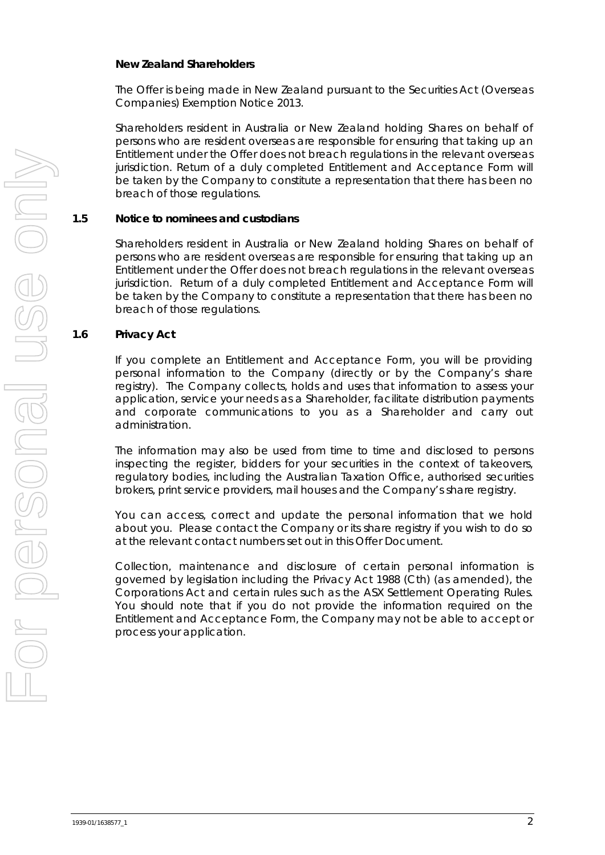#### *New Zealand Shareholders*

The Offer is being made in New Zealand pursuant to the Securities Act (Overseas Companies) Exemption Notice 2013.

Shareholders resident in Australia or New Zealand holding Shares on behalf of persons who are resident overseas are responsible for ensuring that taking up an Entitlement under the Offer does not breach regulations in the relevant overseas jurisdiction. Return of a duly completed Entitlement and Acceptance Form will be taken by the Company to constitute a representation that there has been no breach of those regulations.

#### **1.5 Notice to nominees and custodians**

Shareholders resident in Australia or New Zealand holding Shares on behalf of persons who are resident overseas are responsible for ensuring that taking up an Entitlement under the Offer does not breach regulations in the relevant overseas jurisdiction. Return of a duly completed Entitlement and Acceptance Form will be taken by the Company to constitute a representation that there has been no breach of those regulations.

#### **1.6 Privacy Act**

If you complete an Entitlement and Acceptance Form, you will be providing personal information to the Company (directly or by the Company's share registry). The Company collects, holds and uses that information to assess your application, service your needs as a Shareholder, facilitate distribution payments and corporate communications to you as a Shareholder and carry out administration.

The information may also be used from time to time and disclosed to persons inspecting the register, bidders for your securities in the context of takeovers, regulatory bodies, including the Australian Taxation Office, authorised securities brokers, print service providers, mail houses and the Company's share registry.

You can access, correct and update the personal information that we hold about you. Please contact the Company or its share registry if you wish to do so at the relevant contact numbers set out in this Offer Document.

Collection, maintenance and disclosure of certain personal information is governed by legislation including the Privacy Act 1988 (Cth) (as amended), the Corporations Act and certain rules such as the ASX Settlement Operating Rules. You should note that if you do not provide the information required on the Entitlement and Acceptance Form, the Company may not be able to accept or process your application.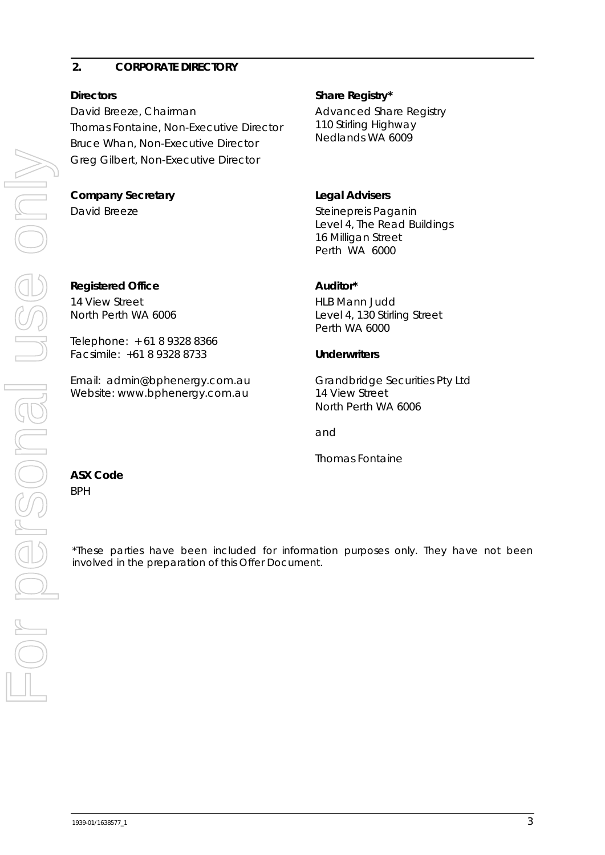## <span id="page-4-0"></span>**2. CORPORATE DIRECTORY**

David Breeze, Chairman Thomas Fontaine, Non-Executive Director Bruce Whan, Non-Executive Director Greg Gilbert, Non-Executive Director

# **Company Secretary Legal Advisers**

14 View Street

North Perth WA 6006

Telephone: + 61 8 9328 8366 Facsimile: +61 8 9328 8733

Email: admin@bphenergy.com.au Website: www.bphenergy.com.au

# **Directors** Share Registry\*

Advanced Share Registry 110 Stirling Highway Nedlands WA 6009

David Breeze Steinepreis Paganin Level 4, The Read Buildings 16 Milligan Street Perth WA 6000

# Registered Office **Auditor**\*

HLB Mann Judd Level 4, 130 Stirling Street Perth WA 6000

# **Underwriters**

Grandbridge Securities Pty Ltd 14 View Street North Perth WA 6006

and

Thomas Fontaine

# **ASX Code**

BPH

\*These parties have been included for information purposes only. They have not been involved in the preparation of this Offer Document.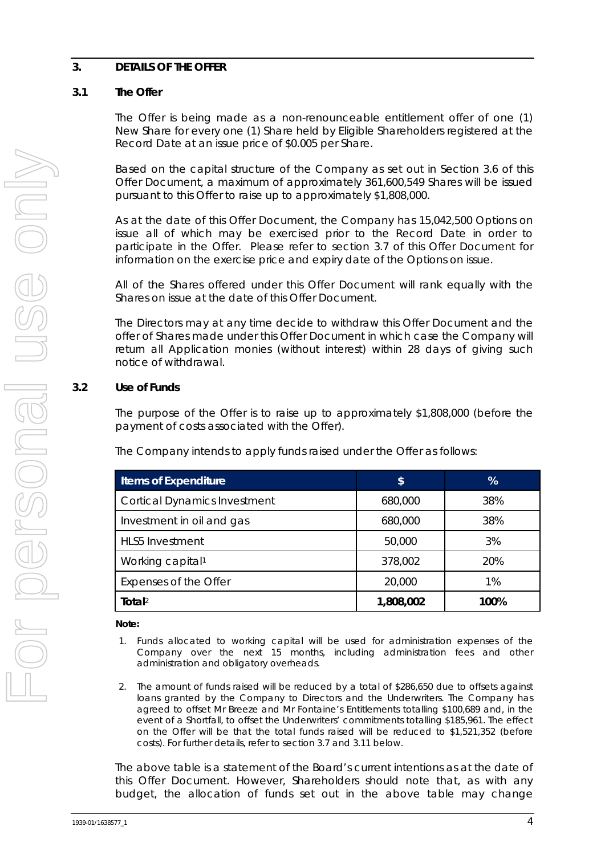# <span id="page-5-0"></span>**3. DETAILS OF THE OFFER**

# **3.1 The Offer**

The Offer is being made as a non-renounceable entitlement offer of one (1) New Share for every one (1) Share held by Eligible Shareholders registered at the Record Date at an issue price of \$0.005 per Share.

Based on the capital structure of the Company as set out in Section [3.6](#page-7-0) of this Offer Document, a maximum of approximately 361,600,549 Shares will be issued pursuant to this Offer to raise up to approximately \$1,808,000.

As at the date of this Offer Document, the Company has 15,042,500 Options on issue all of which may be exercised prior to the Record Date in order to participate in the Offer. Please refer to section 3.7 of this Offer Document for information on the exercise price and expiry date of the Options on issue.

All of the Shares offered under this Offer Document will rank equally with the Shares on issue at the date of this Offer Document.

The Directors may at any time decide to withdraw this Offer Document and the offer of Shares made under this Offer Document in which case the Company will return all Application monies (without interest) within 28 days of giving such notice of withdrawal.

#### **3.2 Use of Funds**

The purpose of the Offer is to raise up to approximately \$1,808,000 (before the payment of costs associated with the Offer).

The Company intends to apply funds raised under the Offer as follows:

| <b>Items of Expenditure</b>         | \$        | %    |
|-------------------------------------|-----------|------|
| <b>Cortical Dynamics Investment</b> | 680,000   | 38%  |
| Investment in oil and gas           | 680,000   | 38%  |
| <b>HLS5</b> Investment              | 50,000    | 3%   |
| Working capital <sup>1</sup>        | 378,002   | 20%  |
| Expenses of the Offer               | 20,000    | 1%   |
| Total $2$                           | 1,808,002 | 100% |

#### **Note:**

- 1. Funds allocated to working capital will be used for administration expenses of the Company over the next 15 months, including administration fees and other administration and obligatory overheads.
- 2. The amount of funds raised will be reduced by a total of \$286,650 due to offsets against loans granted by the Company to Directors and the Underwriters. The Company has agreed to offset Mr Breeze and Mr Fontaine's Entitlements totalling \$100,689 and, in the event of a Shortfall, to offset the Underwriters' commitments totalling \$185,961. The effect on the Offer will be that the total funds raised will be reduced to \$1,521,352 (before costs). For further details, refer to section [3.7](#page-7-1) and [3.11](#page-11-0) below.

The above table is a statement of the Board's current intentions as at the date of this Offer Document. However, Shareholders should note that, as with any budget, the allocation of funds set out in the above table may change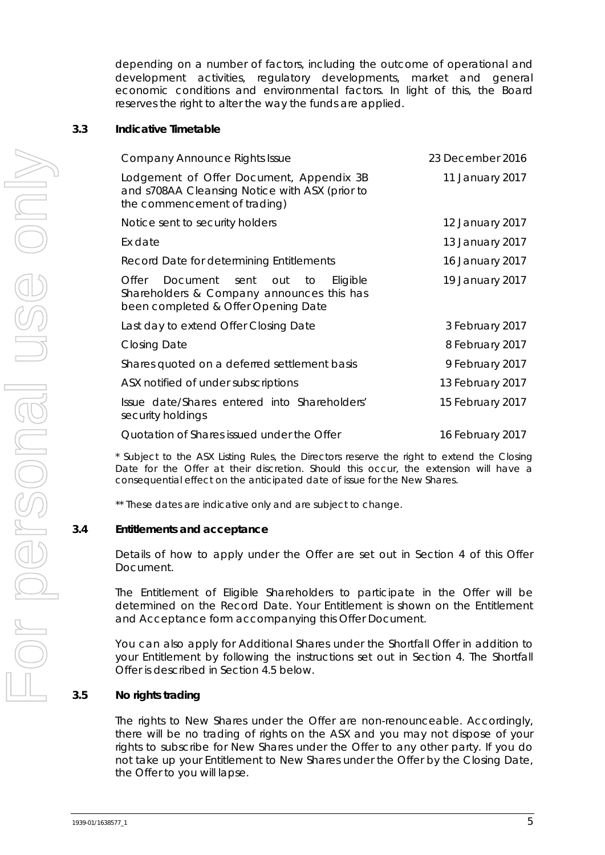depending on a number of factors, including the outcome of operational and development activities, regulatory developments, market and general economic conditions and environmental factors. In light of this, the Board reserves the right to alter the way the funds are applied.

#### <span id="page-6-0"></span>**3.3 Indicative Timetable**

| <b>Company Announce Rights Issue</b>                                                                                             | 23 December 2016 |
|----------------------------------------------------------------------------------------------------------------------------------|------------------|
| Lodgement of Offer Document, Appendix 3B<br>and s708AA Cleansing Notice with ASX (prior to<br>the commencement of trading)       | 11 January 2017  |
| Notice sent to security holders                                                                                                  | 12 January 2017  |
| Ex date                                                                                                                          | 13 January 2017  |
| Record Date for determining Entitlements                                                                                         | 16 January 2017  |
| Eligible<br>Offer<br>Document sent out<br>to<br>Shareholders & Company announces this has<br>been completed & Offer Opening Date | 19 January 2017  |
| Last day to extend Offer Closing Date                                                                                            | 3 February 2017  |
| <b>Closing Date</b>                                                                                                              | 8 February 2017  |
| Shares quoted on a deferred settlement basis                                                                                     | 9 February 2017  |
| ASX notified of under subscriptions                                                                                              | 13 February 2017 |
| Issue date/Shares entered into Shareholders'<br>security holdings                                                                | 15 February 2017 |
| Quotation of Shares issued under the Offer                                                                                       | 16 February 2017 |

\* Subject to the ASX Listing Rules, the Directors reserve the right to extend the Closing Date for the Offer at their discretion. Should this occur, the extension will have a consequential effect on the anticipated date of issue for the New Shares.

\*\* These dates are indicative only and are subject to change.

#### **3.4 Entitlements and acceptance**

Details of how to apply under the Offer are set out in Section [4](#page-15-0) of this Offer Document.

The Entitlement of Eligible Shareholders to participate in the Offer will be determined on the Record Date. Your Entitlement is shown on the Entitlement and Acceptance form accompanying this Offer Document.

You can also apply for Additional Shares under the Shortfall Offer in addition to your Entitlement by following the instructions set out in Section [4.](#page-15-0) The Shortfall Offer is described in Section [4.5](#page-16-0) below.

#### **3.5 No rights trading**

The rights to New Shares under the Offer are non-renounceable. Accordingly, there will be no trading of rights on the ASX and you may not dispose of your rights to subscribe for New Shares under the Offer to any other party. If you do not take up your Entitlement to New Shares under the Offer by the Closing Date, the Offer to you will lapse.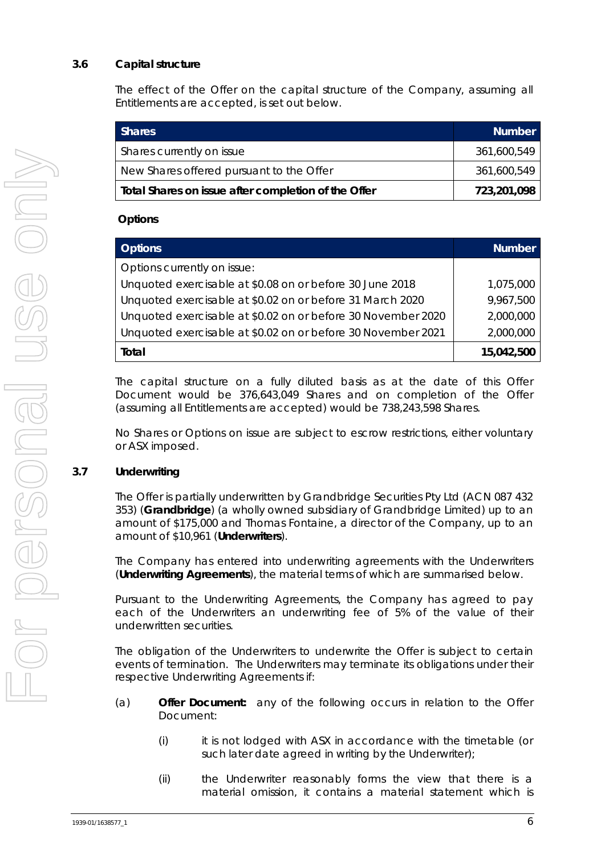# <span id="page-7-0"></span>**3.6 Capital structure**

The effect of the Offer on the capital structure of the Company, assuming all Entitlements are accepted, is set out below.

| <b>Shares</b>                                       | <b>Number</b> |
|-----------------------------------------------------|---------------|
| Shares currently on issue                           | 361,600,549   |
| New Shares offered pursuant to the Offer            | 361,600,549   |
| Total Shares on issue after completion of the Offer | 723,201,098   |

#### **Options**

| <b>Options</b>                                               | <b>Number</b> |
|--------------------------------------------------------------|---------------|
| Options currently on issue:                                  |               |
| Unquoted exercisable at \$0.08 on or before 30 June 2018     | 1,075,000     |
| Unquoted exercisable at \$0.02 on or before 31 March 2020    | 9,967,500     |
| Unquoted exercisable at \$0.02 on or before 30 November 2020 | 2,000,000     |
| Unquoted exercisable at \$0.02 on or before 30 November 2021 | 2,000,000     |
| Total                                                        | 15,042,500    |

The capital structure on a fully diluted basis as at the date of this Offer Document would be 376,643,049 Shares and on completion of the Offer (assuming all Entitlements are accepted) would be 738,243,598 Shares.

No Shares or Options on issue are subject to escrow restrictions, either voluntary or ASX imposed.

#### <span id="page-7-1"></span>**3.7 Underwriting**

The Offer is partially underwritten by Grandbridge Securities Pty Ltd (ACN 087 432 353) (**Grandbridge**) (a wholly owned subsidiary of Grandbridge Limited) up to an amount of \$175,000 and Thomas Fontaine, a director of the Company, up to an amount of \$10,961 (**Underwriters**).

The Company has entered into underwriting agreements with the Underwriters (**Underwriting Agreements**), the material terms of which are summarised below.

Pursuant to the Underwriting Agreements, the Company has agreed to pay each of the Underwriters an underwriting fee of 5% of the value of their underwritten securities.

The obligation of the Underwriters to underwrite the Offer is subject to certain events of termination. The Underwriters may terminate its obligations under their respective Underwriting Agreements if:

- (a) **Offer Document:** any of the following occurs in relation to the Offer Document:
	- (i) it is not lodged with ASX in accordance with the timetable (or such later date agreed in writing by the Underwriter);
	- (ii) the Underwriter reasonably forms the view that there is a material omission, it contains a material statement which is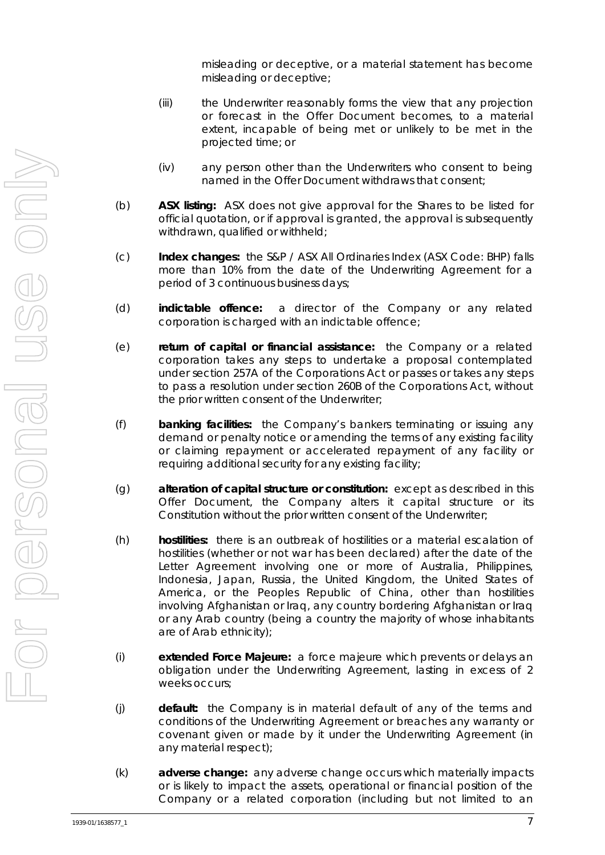misleading or deceptive, or a material statement has become misleading or deceptive;

- (iii) the Underwriter reasonably forms the view that any projection or forecast in the Offer Document becomes, to a material extent, incapable of being met or unlikely to be met in the projected time; or
- (iv) any person other than the Underwriters who consent to being named in the Offer Document withdraws that consent;
- (b) **ASX listing:** ASX does not give approval for the Shares to be listed for official quotation, or if approval is granted, the approval is subsequently withdrawn, qualified or withheld;
- (c) **Index changes:** the S&P / ASX All Ordinaries Index (ASX Code: BHP) falls more than 10% from the date of the Underwriting Agreement for a period of 3 continuous business days;
- (d) **indictable offence:** a director of the Company or any related corporation is charged with an indictable offence;
- (e) **return of capital or financial assistance:** the Company or a related corporation takes any steps to undertake a proposal contemplated under section 257A of the Corporations Act or passes or takes any steps to pass a resolution under section 260B of the Corporations Act, without the prior written consent of the Underwriter;
- (f) **banking facilities:** the Company's bankers terminating or issuing any demand or penalty notice or amending the terms of any existing facility or claiming repayment or accelerated repayment of any facility or requiring additional security for any existing facility;
- (g) **alteration of capital structure or constitution:** except as described in this Offer Document, the Company alters it capital structure or its Constitution without the prior written consent of the Underwriter;
- (h) **hostilities:** there is an outbreak of hostilities or a material escalation of hostilities (whether or not war has been declared) after the date of the Letter Agreement involving one or more of Australia, Philippines, Indonesia, Japan, Russia, the United Kingdom, the United States of America, or the Peoples Republic of China, other than hostilities involving Afghanistan or Iraq, any country bordering Afghanistan or Iraq or any Arab country (being a country the majority of whose inhabitants are of Arab ethnicity);
- (i) **extended Force Majeure:** a force majeure which prevents or delays an obligation under the Underwriting Agreement, lasting in excess of 2 weeks occurs;
- (j) **default:** the Company is in material default of any of the terms and conditions of the Underwriting Agreement or breaches any warranty or covenant given or made by it under the Underwriting Agreement (in any material respect);
- (k) **adverse change:** any adverse change occurs which materially impacts or is likely to impact the assets, operational or financial position of the Company or a related corporation (including but not limited to an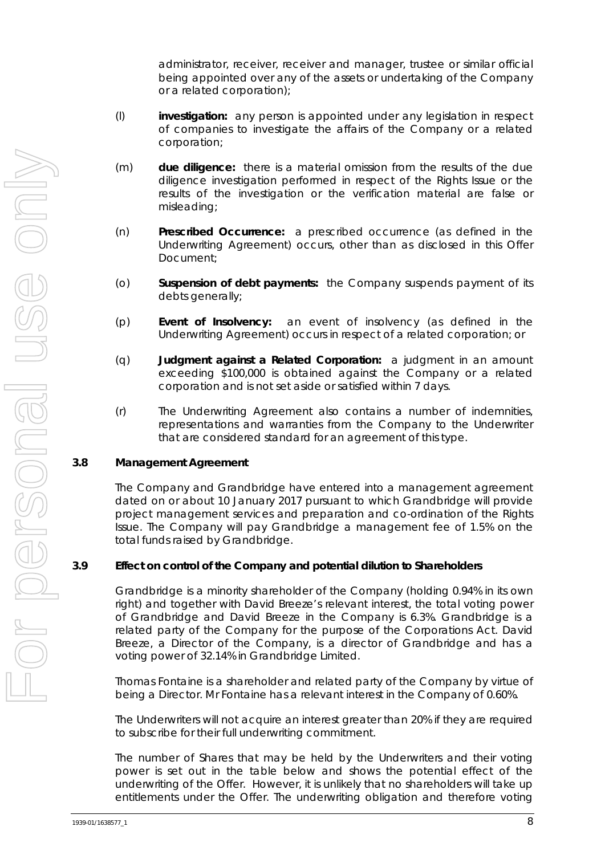administrator, receiver, receiver and manager, trustee or similar official being appointed over any of the assets or undertaking of the Company or a related corporation);

- (l) **investigation:** any person is appointed under any legislation in respect of companies to investigate the affairs of the Company or a related corporation;
- (m) **due diligence:** there is a material omission from the results of the due diligence investigation performed in respect of the Rights Issue or the results of the investigation or the verification material are false or misleading;
- (n) **Prescribed Occurrence:** a prescribed occurrence (as defined in the Underwriting Agreement) occurs, other than as disclosed in this Offer Document;
- (o) **Suspension of debt payments:** the Company suspends payment of its debts generally;
- (p) **Event of Insolvency:** an event of insolvency (as defined in the Underwriting Agreement) occurs in respect of a related corporation; or
- (q) **Judgment against a Related Corporation:** a judgment in an amount exceeding \$100,000 is obtained against the Company or a related corporation and is not set aside or satisfied within 7 days.
- (r) The Underwriting Agreement also contains a number of indemnities, representations and warranties from the Company to the Underwriter that are considered standard for an agreement of this type.

#### **3.8 Management Agreement**

The Company and Grandbridge have entered into a management agreement dated on or about 10 January 2017 pursuant to which Grandbridge will provide project management services and preparation and co-ordination of the Rights Issue. The Company will pay Grandbridge a management fee of 1.5% on the total funds raised by Grandbridge.

#### **3.9 Effect on control of the Company and potential dilution to Shareholders**

Grandbridge is a minority shareholder of the Company (holding 0.94% in its own right) and together with David Breeze's relevant interest, the total voting power of Grandbridge and David Breeze in the Company is 6.3%. Grandbridge is a related party of the Company for the purpose of the Corporations Act. David Breeze, a Director of the Company, is a director of Grandbridge and has a voting power of 32.14% in Grandbridge Limited.

Thomas Fontaine is a shareholder and related party of the Company by virtue of being a Director. Mr Fontaine has a relevant interest in the Company of 0.60%.

The Underwriters will not acquire an interest greater than 20% if they are required to subscribe for their full underwriting commitment.

The number of Shares that may be held by the Underwriters and their voting power is set out in the table below and shows the potential effect of the underwriting of the Offer. However, it is unlikely that no shareholders will take up entitlements under the Offer. The underwriting obligation and therefore voting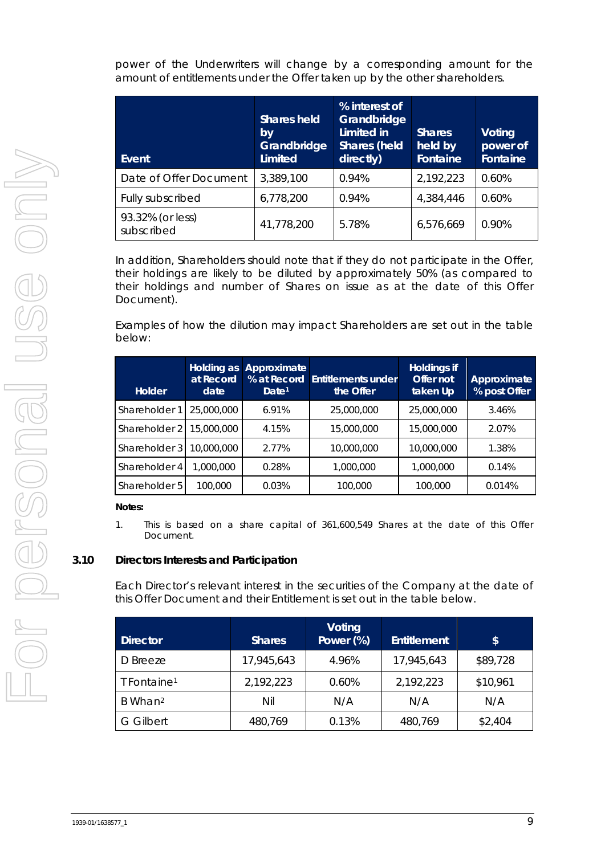power of the Underwriters will change by a corresponding amount for the amount of entitlements under the Offer taken up by the other shareholders.

| Event                          | <b>Shares held</b><br>by<br>Grandbridge<br><b>Limited</b> | % interest of<br>Grandbridge<br>Limited in<br><b>Shares (held</b><br>directly) | <b>Shares</b><br>held by<br>Fontaine | <b>Voting</b><br>power of<br><b>Fontaine</b> |
|--------------------------------|-----------------------------------------------------------|--------------------------------------------------------------------------------|--------------------------------------|----------------------------------------------|
| Date of Offer Document         | 3,389,100                                                 | 0.94%                                                                          | 2,192,223                            | 0.60%                                        |
| Fully subscribed               | 6,778,200                                                 | 0.94%                                                                          | 4,384,446                            | 0.60%                                        |
| 93.32% (or less)<br>subscribed | 41,778,200                                                | 5.78%                                                                          | 6,576,669                            | 0.90%                                        |

In addition, Shareholders should note that if they do not participate in the Offer, their holdings are likely to be diluted by approximately 50% (as compared to their holdings and number of Shares on issue as at the date of this Offer Document).

Examples of how the dilution may impact Shareholders are set out in the table below:

| <b>Holder</b> | Holding as<br>at Record<br>date | Approximate<br>% at Record<br>Date <sup>1</sup> | <b>Entitlements under</b><br>the Offer | Holdings if<br>Offer not<br>taken Up | Approximate<br>% post Offer |
|---------------|---------------------------------|-------------------------------------------------|----------------------------------------|--------------------------------------|-----------------------------|
| Shareholder 1 | 25,000,000                      | 6.91%                                           | 25,000,000                             | 25,000,000                           | 3.46%                       |
| Shareholder 2 | 15,000,000                      | 4.15%                                           | 15,000,000                             | 15,000,000                           | 2.07%                       |
| Shareholder 3 | 10,000,000                      | 2.77%                                           | 10,000,000                             | 10,000,000                           | 1.38%                       |
| Shareholder 4 | 1.000.000                       | 0.28%                                           | 1,000,000                              | 1,000,000                            | 0.14%                       |
| Shareholder 5 | 100.000                         | 0.03%                                           | 100,000                                | 100,000                              | 0.014%                      |

#### **Notes:**

1. This is based on a share capital of 361,600,549 Shares at the date of this Offer Document.

#### **3.10 Directors Interests and Participation**

Each Director's relevant interest in the securities of the Company at the date of this Offer Document and their Entitlement is set out in the table below.

| <b>Director</b>         | <b>Shares</b> | Voting<br>Power (%) | <b>Entitlement</b> | \$       |
|-------------------------|---------------|---------------------|--------------------|----------|
| D Breeze                | 17,945,643    | 4.96%               | 17,945,643         | \$89,728 |
| T Fontaine <sup>1</sup> | 2,192,223     | 0.60%               | 2,192,223          | \$10,961 |
| B Whan <sup>2</sup>     | Nil           | N/A                 | N/A                | N/A      |
| G Gilbert               | 480,769       | 0.13%               | 480,769            | \$2,404  |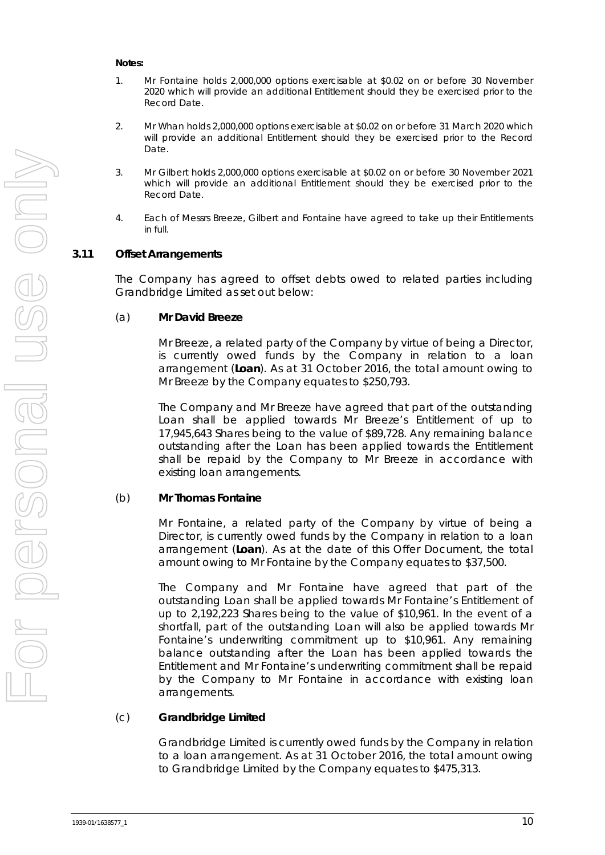#### **Notes:**

- 1. Mr Fontaine holds 2,000,000 options exercisable at \$0.02 on or before 30 November 2020 which will provide an additional Entitlement should they be exercised prior to the Record Date.
- 2. Mr Whan holds 2,000,000 options exercisable at \$0.02 on or before 31 March 2020 which will provide an additional Entitlement should they be exercised prior to the Record Date.
- 3. Mr Gilbert holds 2,000,000 options exercisable at \$0.02 on or before 30 November 2021 which will provide an additional Entitlement should they be exercised prior to the Record Date.
- 4. Each of Messrs Breeze, Gilbert and Fontaine have agreed to take up their Entitlements in full.

#### <span id="page-11-0"></span>**3.11 Offset Arrangements**

The Company has agreed to offset debts owed to related parties including Grandbridge Limited as set out below:

#### (a) **Mr David Breeze**

Mr Breeze, a related party of the Company by virtue of being a Director, is currently owed funds by the Company in relation to a loan arrangement (**Loan**). As at 31 October 2016, the total amount owing to Mr Breeze by the Company equates to \$250,793.

The Company and Mr Breeze have agreed that part of the outstanding Loan shall be applied towards Mr Breeze's Entitlement of up to 17,945,643 Shares being to the value of \$89,728. Any remaining balance outstanding after the Loan has been applied towards the Entitlement shall be repaid by the Company to Mr Breeze in accordance with existing loan arrangements.

#### (b) **Mr Thomas Fontaine**

Mr Fontaine, a related party of the Company by virtue of being a Director, is currently owed funds by the Company in relation to a loan arrangement (**Loan**). As at the date of this Offer Document, the total amount owing to Mr Fontaine by the Company equates to \$37,500.

The Company and Mr Fontaine have agreed that part of the outstanding Loan shall be applied towards Mr Fontaine's Entitlement of up to 2,192,223 Shares being to the value of \$10,961. In the event of a shortfall, part of the outstanding Loan will also be applied towards Mr Fontaine's underwriting commitment up to \$10,961. Any remaining balance outstanding after the Loan has been applied towards the Entitlement and Mr Fontaine's underwriting commitment shall be repaid by the Company to Mr Fontaine in accordance with existing loan arrangements.

#### (c) **Grandbridge Limited**

Grandbridge Limited is currently owed funds by the Company in relation to a loan arrangement. As at 31 October 2016, the total amount owing to Grandbridge Limited by the Company equates to \$475,313.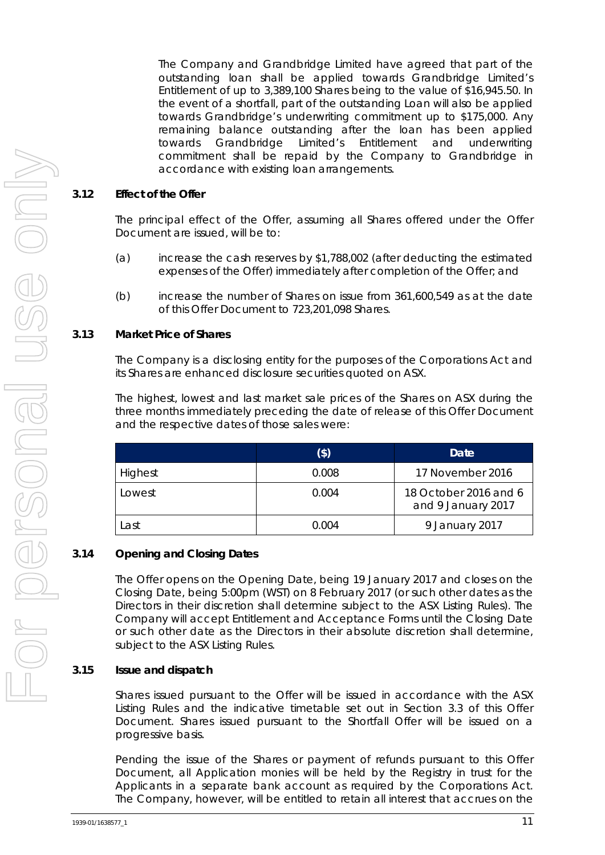The Company and Grandbridge Limited have agreed that part of the outstanding loan shall be applied towards Grandbridge Limited's Entitlement of up to 3,389,100 Shares being to the value of \$16,945.50. In the event of a shortfall, part of the outstanding Loan will also be applied towards Grandbridge's underwriting commitment up to \$175,000. Any remaining balance outstanding after the loan has been applied towards Grandbridge Limited's Entitlement and underwriting commitment shall be repaid by the Company to Grandbridge in accordance with existing loan arrangements.

#### **3.12 Effect of the Offer**

The principal effect of the Offer, assuming all Shares offered under the Offer Document are issued, will be to:

- (a) increase the cash reserves by \$1,788,002 (after deducting the estimated expenses of the Offer) immediately after completion of the Offer; and
- (b) increase the number of Shares on issue from 361,600,549 as at the date of this Offer Document to 723,201,098 Shares.

#### **3.13 Market Price of Shares**

The Company is a disclosing entity for the purposes of the Corporations Act and its Shares are enhanced disclosure securities quoted on ASX.

The highest, lowest and last market sale prices of the Shares on ASX during the three months immediately preceding the date of release of this Offer Document and the respective dates of those sales were:

|         | (\$)  | Date                                        |
|---------|-------|---------------------------------------------|
| Highest | 0.008 | 17 November 2016                            |
| Lowest  | 0.004 | 18 October 2016 and 6<br>and 9 January 2017 |
| Last    | 0.004 | 9 January 2017                              |

#### **3.14 Opening and Closing Dates**

The Offer opens on the Opening Date, being 19 January 2017 and closes on the Closing Date, being 5:00pm (WST) on 8 February 2017 (or such other dates as the Directors in their discretion shall determine subject to the ASX Listing Rules). The Company will accept Entitlement and Acceptance Forms until the Closing Date or such other date as the Directors in their absolute discretion shall determine, subject to the ASX Listing Rules.

#### **3.15 Issue and dispatch**

Shares issued pursuant to the Offer will be issued in accordance with the ASX Listing Rules and the indicative timetable set out in Section [3.3](#page-6-0) of this Offer Document. Shares issued pursuant to the Shortfall Offer will be issued on a progressive basis.

Pending the issue of the Shares or payment of refunds pursuant to this Offer Document, all Application monies will be held by the Registry in trust for the Applicants in a separate bank account as required by the Corporations Act. The Company, however, will be entitled to retain all interest that accrues on the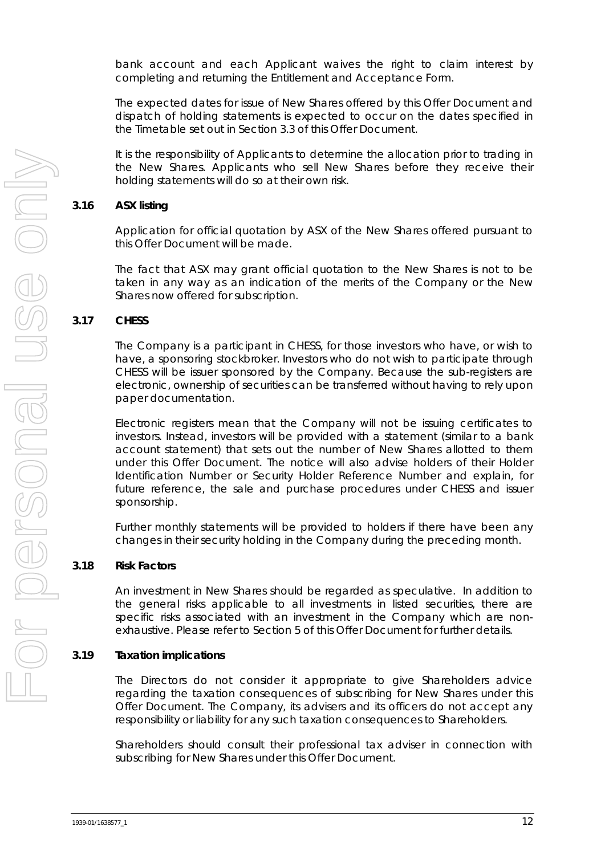bank account and each Applicant waives the right to claim interest by completing and returning the Entitlement and Acceptance Form.

The expected dates for issue of New Shares offered by this Offer Document and dispatch of holding statements is expected to occur on the dates specified in the Timetable set out in Section [3.3](#page-6-0) of this Offer Document.

It is the responsibility of Applicants to determine the allocation prior to trading in the New Shares. Applicants who sell New Shares before they receive their holding statements will do so at their own risk.

#### **3.16 ASX listing**

Application for official quotation by ASX of the New Shares offered pursuant to this Offer Document will be made.

The fact that ASX may grant official quotation to the New Shares is not to be taken in any way as an indication of the merits of the Company or the New Shares now offered for subscription.

#### **3.17 CHESS**

The Company is a participant in CHESS, for those investors who have, or wish to have, a sponsoring stockbroker. Investors who do not wish to participate through CHESS will be issuer sponsored by the Company. Because the sub-registers are electronic, ownership of securities can be transferred without having to rely upon paper documentation.

Electronic registers mean that the Company will not be issuing certificates to investors. Instead, investors will be provided with a statement (similar to a bank account statement) that sets out the number of New Shares allotted to them under this Offer Document. The notice will also advise holders of their Holder Identification Number or Security Holder Reference Number and explain, for future reference, the sale and purchase procedures under CHESS and issuer sponsorship.

Further monthly statements will be provided to holders if there have been any changes in their security holding in the Company during the preceding month.

#### **3.18 Risk Factors**

An investment in New Shares should be regarded as speculative. In addition to the general risks applicable to all investments in listed securities, there are specific risks associated with an investment in the Company which are nonexhaustive. Please refer to Section 5 of this Offer Document for further details.

#### **3.19 Taxation implications**

The Directors do not consider it appropriate to give Shareholders advice regarding the taxation consequences of subscribing for New Shares under this Offer Document. The Company, its advisers and its officers do not accept any responsibility or liability for any such taxation consequences to Shareholders.

Shareholders should consult their professional tax adviser in connection with subscribing for New Shares under this Offer Document.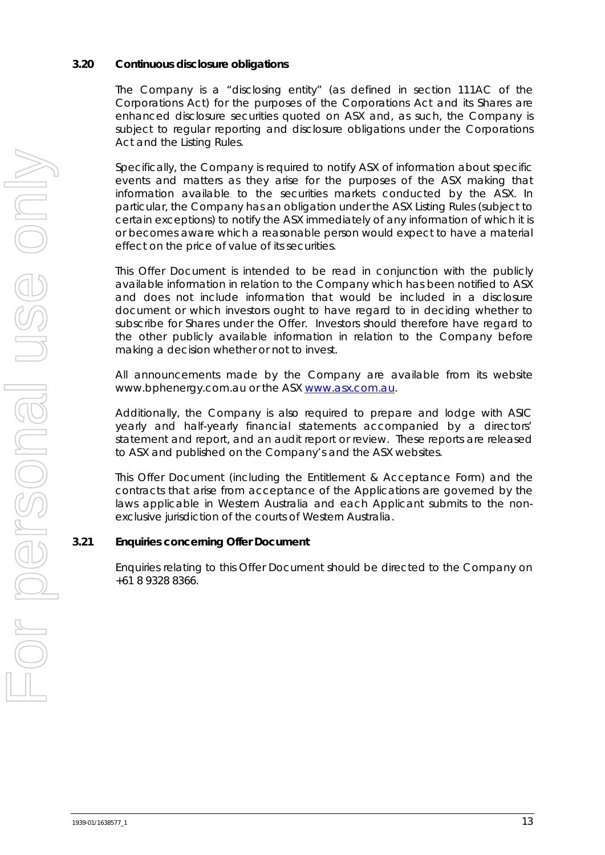### **3.20 Continuous disclosure obligations**

The Company is a "disclosing entity" (as defined in section 111AC of the Corporations Act) for the purposes of the Corporations Act and its Shares are enhanced disclosure securities quoted on ASX and, as such, the Company is subject to regular reporting and disclosure obligations under the Corporations Act and the Listing Rules.

Specifically, the Company is required to notify ASX of information about specific events and matters as they arise for the purposes of the ASX making that information available to the securities markets conducted by the ASX. In particular, the Company has an obligation under the ASX Listing Rules (subject to certain exceptions) to notify the ASX immediately of any information of which it is or becomes aware which a reasonable person would expect to have a material effect on the price of value of its securities.

This Offer Document is intended to be read in conjunction with the publicly available information in relation to the Company which has been notified to ASX and does not include information that would be included in a disclosure document or which investors ought to have regard to in deciding whether to subscribe for Shares under the Offer. Investors should therefore have regard to the other publicly available information in relation to the Company before making a decision whether or not to invest.

All announcements made by the Company are available from its website www.bphenergy.com.au or the ASX [www.asx.com.au.](http://www.asx.com.au/)

Additionally, the Company is also required to prepare and lodge with ASIC yearly and half-yearly financial statements accompanied by a directors' statement and report, and an audit report or review. These reports are released to ASX and published on the Company's and the ASX websites.

This Offer Document (including the Entitlement & Acceptance Form) and the contracts that arise from acceptance of the Applications are governed by the laws applicable in Western Australia and each Applicant submits to the nonexclusive jurisdiction of the courts of Western Australia.

#### **3.21 Enquiries concerning Offer Document**

Enquiries relating to this Offer Document should be directed to the Company on +61 8 9328 8366.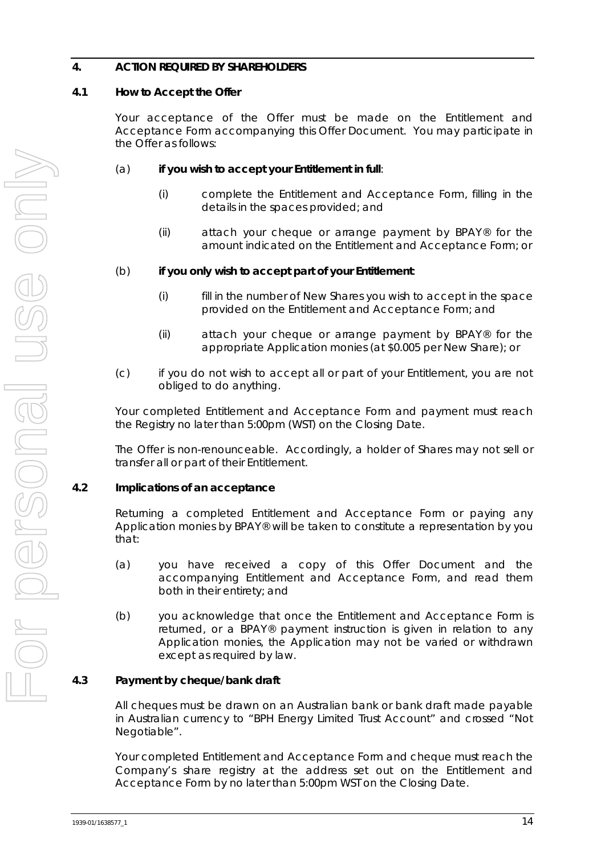# <span id="page-15-0"></span>**4. ACTION REQUIRED BY SHAREHOLDERS**

# **4.1 How to Accept the Offer**

Your acceptance of the Offer must be made on the Entitlement and Acceptance Form accompanying this Offer Document. You may participate in the Offer as follows:

# (a) **if you wish to accept your Entitlement in full**:

- (i) complete the Entitlement and Acceptance Form, filling in the details in the spaces provided; and
- (ii) attach your cheque or arrange payment by BPAY® for the amount indicated on the Entitlement and Acceptance Form; or

# (b) **if you only wish to accept part of your Entitlement**:

- (i) fill in the number of New Shares you wish to accept in the space provided on the Entitlement and Acceptance Form; and
- (ii) attach your cheque or arrange payment by BPAY® for the appropriate Application monies (at \$0.005 per New Share); or
- (c) if you do not wish to accept all or part of your Entitlement, you are not obliged to do anything.

Your completed Entitlement and Acceptance Form and payment must reach the Registry no later than 5:00pm (WST) on the Closing Date.

The Offer is non-renounceable. Accordingly, a holder of Shares may not sell or transfer all or part of their Entitlement.

#### **4.2 Implications of an acceptance**

Returning a completed Entitlement and Acceptance Form or paying any Application monies by BPAY® will be taken to constitute a representation by you that:

- (a) you have received a copy of this Offer Document and the accompanying Entitlement and Acceptance Form, and read them both in their entirety; and
- (b) you acknowledge that once the Entitlement and Acceptance Form is returned, or a BPAY® payment instruction is given in relation to any Application monies, the Application may not be varied or withdrawn except as required by law.

# **4.3 Payment by cheque/bank draft**

All cheques must be drawn on an Australian bank or bank draft made payable in Australian currency to "BPH Energy Limited Trust Account" and crossed "Not Negotiable".

Your completed Entitlement and Acceptance Form and cheque must reach the Company's share registry at the address set out on the Entitlement and Acceptance Form by no later than 5:00pm WST on the Closing Date.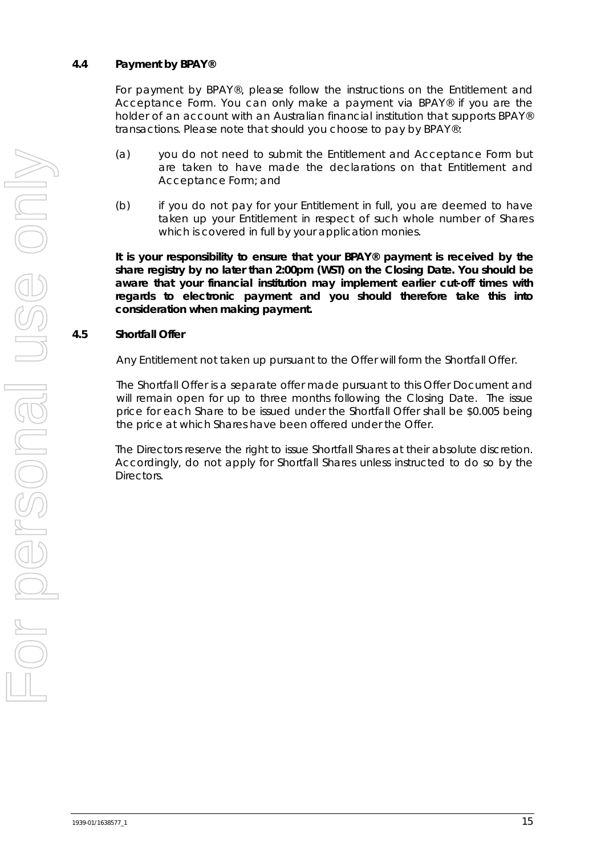#### **4.4 Payment by BPAY®**

For payment by BPAY®, please follow the instructions on the Entitlement and Acceptance Form. You can only make a payment via BPAY® if you are the holder of an account with an Australian financial institution that supports BPAY® transactions. Please note that should you choose to pay by BPAY®:

- (a) you do not need to submit the Entitlement and Acceptance Form but are taken to have made the declarations on that Entitlement and Acceptance Form; and
- (b) if you do not pay for your Entitlement in full, you are deemed to have taken up your Entitlement in respect of such whole number of Shares which is covered in full by your application monies.

**It is your responsibility to ensure that your BPAY® payment is received by the share registry by no later than 2:00pm (WST) on the Closing Date. You should be aware that your financial institution may implement earlier cut-off times with regards to electronic payment and you should therefore take this into consideration when making payment.**

# <span id="page-16-0"></span>**4.5 Shortfall Offer**

Any Entitlement not taken up pursuant to the Offer will form the Shortfall Offer.

The Shortfall Offer is a separate offer made pursuant to this Offer Document and will remain open for up to three months following the Closing Date. The issue price for each Share to be issued under the Shortfall Offer shall be \$0.005 being the price at which Shares have been offered under the Offer.

The Directors reserve the right to issue Shortfall Shares at their absolute discretion. Accordingly, do not apply for Shortfall Shares unless instructed to do so by the Directors.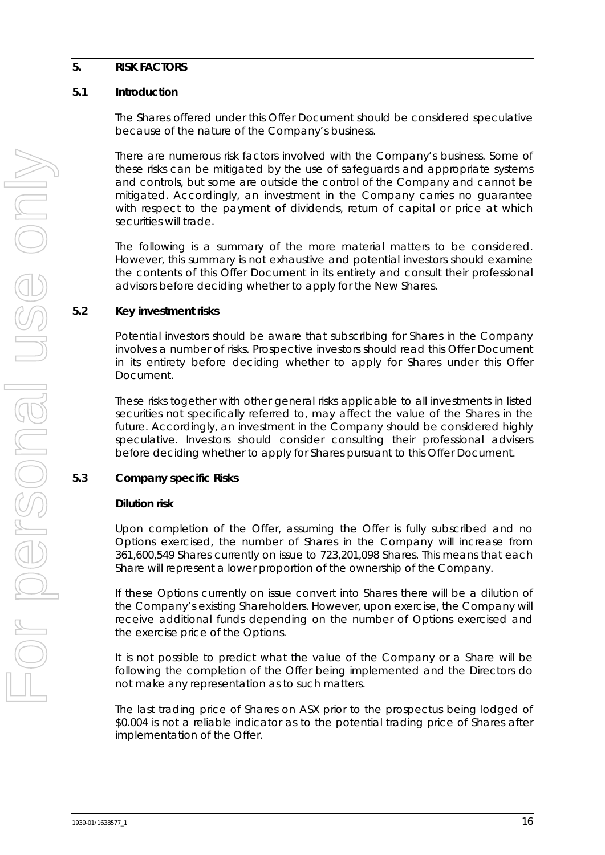#### <span id="page-17-0"></span>**5. RISK FACTORS**

### **5.1 Introduction**

The Shares offered under this Offer Document should be considered speculative because of the nature of the Company's business.

There are numerous risk factors involved with the Company's business. Some of these risks can be mitigated by the use of safeguards and appropriate systems and controls, but some are outside the control of the Company and cannot be mitigated. Accordingly, an investment in the Company carries no guarantee with respect to the payment of dividends, return of capital or price at which securities will trade.

The following is a summary of the more material matters to be considered. However, this summary is not exhaustive and potential investors should examine the contents of this Offer Document in its entirety and consult their professional advisors before deciding whether to apply for the New Shares.

# **5.2 Key investment risks**

Potential investors should be aware that subscribing for Shares in the Company involves a number of risks. Prospective investors should read this Offer Document in its entirety before deciding whether to apply for Shares under this Offer Document.

These risks together with other general risks applicable to all investments in listed securities not specifically referred to, may affect the value of the Shares in the future. Accordingly, an investment in the Company should be considered highly speculative. Investors should consider consulting their professional advisers before deciding whether to apply for Shares pursuant to this Offer Document.

# **5.3 Company specific Risks**

#### **Dilution risk**

Upon completion of the Offer, assuming the Offer is fully subscribed and no Options exercised, the number of Shares in the Company will increase from 361,600,549 Shares currently on issue to 723,201,098 Shares. This means that each Share will represent a lower proportion of the ownership of the Company.

If these Options currently on issue convert into Shares there will be a dilution of the Company's existing Shareholders. However, upon exercise, the Company will receive additional funds depending on the number of Options exercised and the exercise price of the Options.

It is not possible to predict what the value of the Company or a Share will be following the completion of the Offer being implemented and the Directors do not make any representation as to such matters.

The last trading price of Shares on ASX prior to the prospectus being lodged of \$0.004 is not a reliable indicator as to the potential trading price of Shares after implementation of the Offer.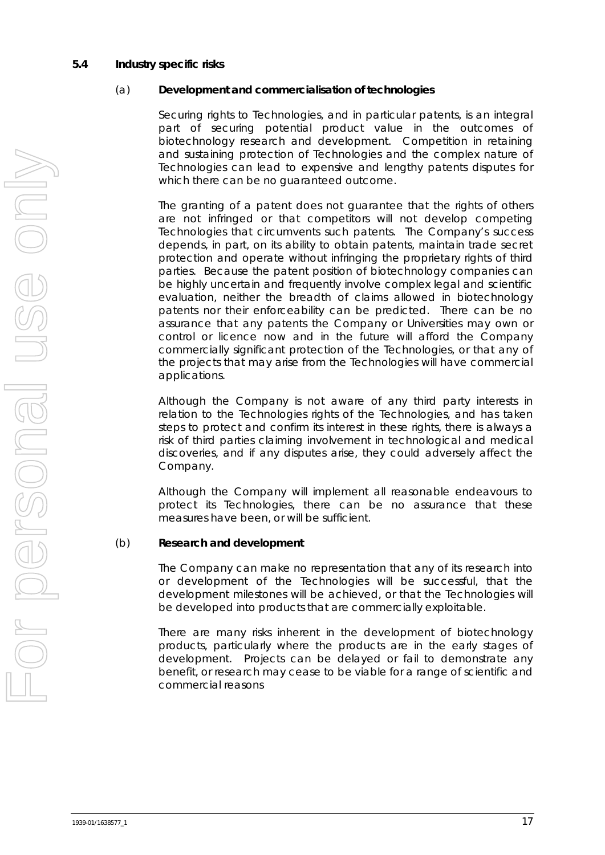#### **5.4 Industry specific risks**

#### (a) **Development and commercialisation of technologies**

Securing rights to Technologies, and in particular patents, is an integral part of securing potential product value in the outcomes of biotechnology research and development. Competition in retaining and sustaining protection of Technologies and the complex nature of Technologies can lead to expensive and lengthy patents disputes for which there can be no guaranteed outcome.

The granting of a patent does not guarantee that the rights of others are not infringed or that competitors will not develop competing Technologies that circumvents such patents. The Company's success depends, in part, on its ability to obtain patents, maintain trade secret protection and operate without infringing the proprietary rights of third parties. Because the patent position of biotechnology companies can be highly uncertain and frequently involve complex legal and scientific evaluation, neither the breadth of claims allowed in biotechnology patents nor their enforceability can be predicted. There can be no assurance that any patents the Company or Universities may own or control or licence now and in the future will afford the Company commercially significant protection of the Technologies, or that any of the projects that may arise from the Technologies will have commercial applications.

Although the Company is not aware of any third party interests in relation to the Technologies rights of the Technologies, and has taken steps to protect and confirm its interest in these rights, there is always a risk of third parties claiming involvement in technological and medical discoveries, and if any disputes arise, they could adversely affect the Company.

Although the Company will implement all reasonable endeavours to protect its Technologies, there can be no assurance that these measures have been, or will be sufficient.

#### (b) **Research and development**

The Company can make no representation that any of its research into or development of the Technologies will be successful, that the development milestones will be achieved, or that the Technologies will be developed into products that are commercially exploitable.

There are many risks inherent in the development of biotechnology products, particularly where the products are in the early stages of development. Projects can be delayed or fail to demonstrate any benefit, or research may cease to be viable for a range of scientific and commercial reasons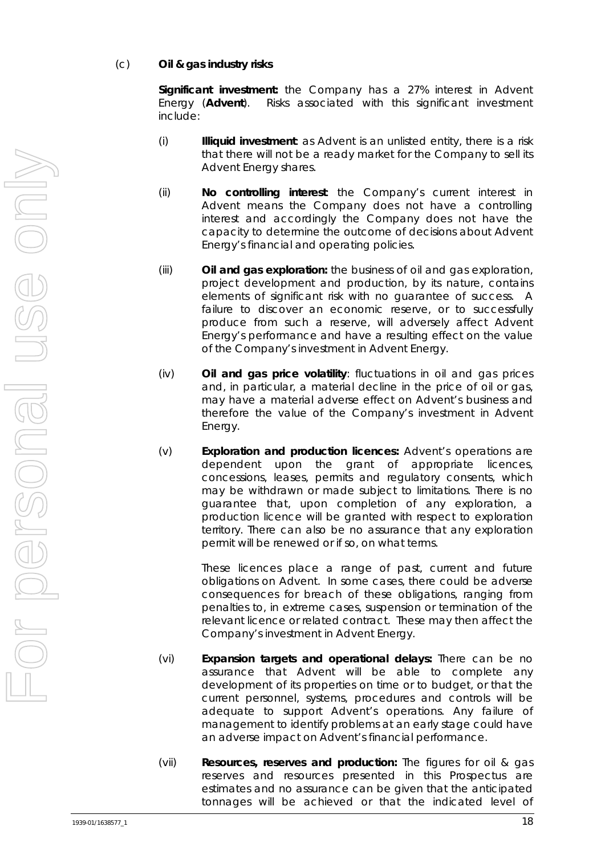# (c) **Oil & gas industry risks**

**Significant investment:** the Company has a 27% interest in Advent Energy (**Advent**). Risks associated with this significant investment include:

- (i) **Illiquid investment**: as Advent is an unlisted entity, there is a risk that there will not be a ready market for the Company to sell its Advent Energy shares.
- (ii) **No controlling interest**: the Company's current interest in Advent means the Company does not have a controlling interest and accordingly the Company does not have the capacity to determine the outcome of decisions about Advent Energy's financial and operating policies.
- (iii) **Oil and gas exploration:** the business of oil and gas exploration, project development and production, by its nature, contains elements of significant risk with no guarantee of success. A failure to discover an economic reserve, or to successfully produce from such a reserve, will adversely affect Advent Energy's performance and have a resulting effect on the value of the Company's investment in Advent Energy.
- (iv) **Oil and gas price volatility**: fluctuations in oil and gas prices and, in particular, a material decline in the price of oil or gas, may have a material adverse effect on Advent's business and therefore the value of the Company's investment in Advent Energy.
- (v) **Exploration and production licences:** Advent's operations are dependent upon the grant of appropriate licences, concessions, leases, permits and regulatory consents, which may be withdrawn or made subject to limitations. There is no guarantee that, upon completion of any exploration, a production licence will be granted with respect to exploration territory. There can also be no assurance that any exploration permit will be renewed or if so, on what terms.

These licences place a range of past, current and future obligations on Advent. In some cases, there could be adverse consequences for breach of these obligations, ranging from penalties to, in extreme cases, suspension or termination of the relevant licence or related contract. These may then affect the Company's investment in Advent Energy.

- (vi) **Expansion targets and operational delays:** There can be no assurance that Advent will be able to complete any development of its properties on time or to budget, or that the current personnel, systems, procedures and controls will be adequate to support Advent's operations. Any failure of management to identify problems at an early stage could have an adverse impact on Advent's financial performance.
- (vii) **Resources, reserves and production:** The figures for oil & gas reserves and resources presented in this Prospectus are estimates and no assurance can be given that the anticipated tonnages will be achieved or that the indicated level of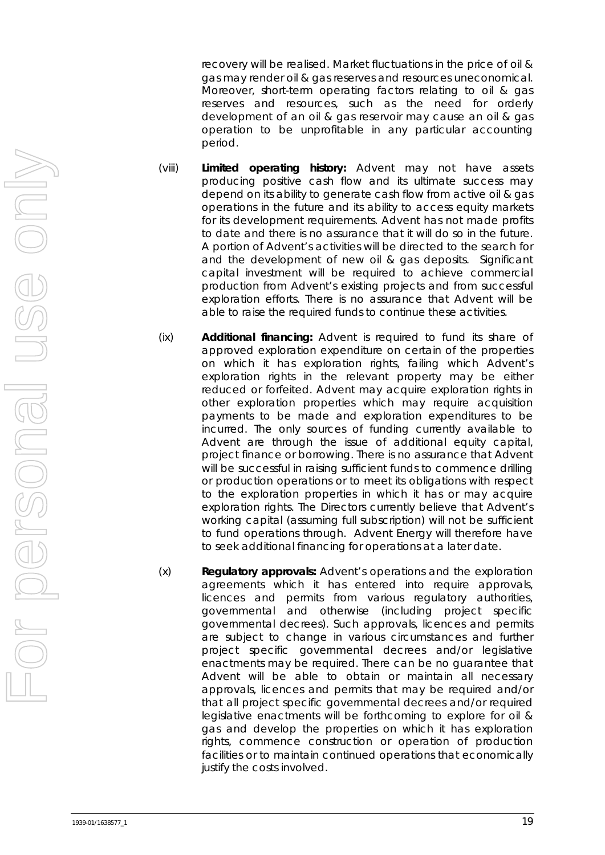recovery will be realised. Market fluctuations in the price of oil & gas may render oil & gas reserves and resources uneconomical. Moreover, short-term operating factors relating to oil & gas reserves and resources, such as the need for orderly development of an oil & gas reservoir may cause an oil & gas operation to be unprofitable in any particular accounting period.

- (viii) **Limited operating history:** Advent may not have assets producing positive cash flow and its ultimate success may depend on its ability to generate cash flow from active oil & gas operations in the future and its ability to access equity markets for its development requirements. Advent has not made profits to date and there is no assurance that it will do so in the future. A portion of Advent's activities will be directed to the search for and the development of new oil & gas deposits. Significant capital investment will be required to achieve commercial production from Advent's existing projects and from successful exploration efforts. There is no assurance that Advent will be able to raise the required funds to continue these activities.
- (ix) **Additional financing:** Advent is required to fund its share of approved exploration expenditure on certain of the properties on which it has exploration rights, failing which Advent's exploration rights in the relevant property may be either reduced or forfeited. Advent may acquire exploration rights in other exploration properties which may require acquisition payments to be made and exploration expenditures to be incurred. The only sources of funding currently available to Advent are through the issue of additional equity capital, project finance or borrowing. There is no assurance that Advent will be successful in raising sufficient funds to commence drilling or production operations or to meet its obligations with respect to the exploration properties in which it has or may acquire exploration rights. The Directors currently believe that Advent's working capital (assuming full subscription) will not be sufficient to fund operations through. Advent Energy will therefore have to seek additional financing for operations at a later date.
- (x) **Regulatory approvals:** Advent's operations and the exploration agreements which it has entered into require approvals, licences and permits from various regulatory authorities, governmental and otherwise (including project specific governmental decrees). Such approvals, licences and permits are subject to change in various circumstances and further project specific governmental decrees and/or legislative enactments may be required. There can be no guarantee that Advent will be able to obtain or maintain all necessary approvals, licences and permits that may be required and/or that all project specific governmental decrees and/or required legislative enactments will be forthcoming to explore for oil & gas and develop the properties on which it has exploration rights, commence construction or operation of production facilities or to maintain continued operations that economically justify the costs involved.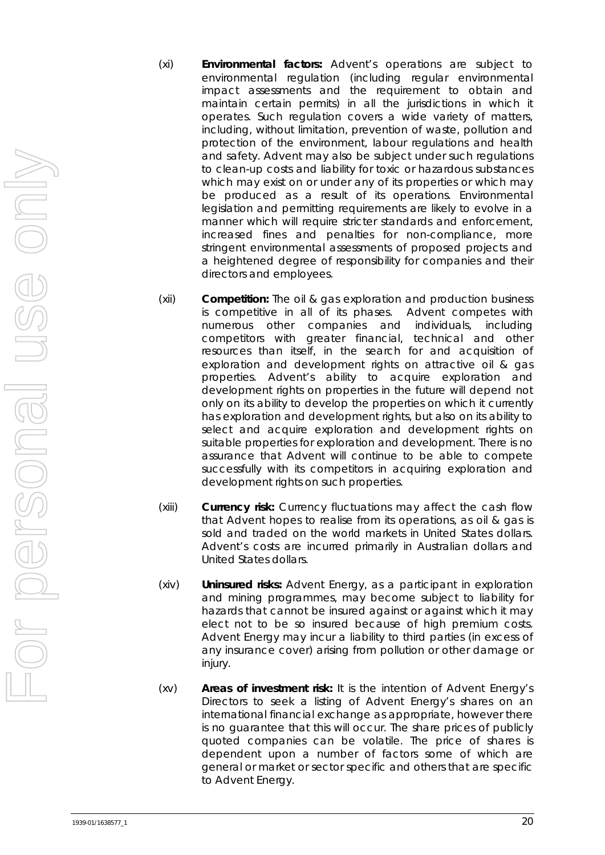- (xi) **Environmental factors:** Advent's operations are subject to environmental regulation (including regular environmental impact assessments and the requirement to obtain and maintain certain permits) in all the jurisdictions in which it operates. Such regulation covers a wide variety of matters, including, without limitation, prevention of waste, pollution and protection of the environment, labour regulations and health and safety. Advent may also be subject under such regulations to clean-up costs and liability for toxic or hazardous substances which may exist on or under any of its properties or which may be produced as a result of its operations. Environmental legislation and permitting requirements are likely to evolve in a manner which will require stricter standards and enforcement, increased fines and penalties for non-compliance, more stringent environmental assessments of proposed projects and a heightened degree of responsibility for companies and their directors and employees.
- (xii) **Competition:** The oil & gas exploration and production business is competitive in all of its phases. Advent competes with numerous other companies and individuals, including competitors with greater financial, technical and other resources than itself, in the search for and acquisition of exploration and development rights on attractive oil & gas properties. Advent's ability to acquire exploration and development rights on properties in the future will depend not only on its ability to develop the properties on which it currently has exploration and development rights, but also on its ability to select and acquire exploration and development rights on suitable properties for exploration and development. There is no assurance that Advent will continue to be able to compete successfully with its competitors in acquiring exploration and development rights on such properties.
- (xiii) **Currency risk:** Currency fluctuations may affect the cash flow that Advent hopes to realise from its operations, as oil & gas is sold and traded on the world markets in United States dollars. Advent's costs are incurred primarily in Australian dollars and United States dollars.
- (xiv) **Uninsured risks:** Advent Energy, as a participant in exploration and mining programmes, may become subject to liability for hazards that cannot be insured against or against which it may elect not to be so insured because of high premium costs. Advent Energy may incur a liability to third parties (in excess of any insurance cover) arising from pollution or other damage or iniury.
- (xv) **Areas of investment risk:** It is the intention of Advent Energy's Directors to seek a listing of Advent Energy's shares on an international financial exchange as appropriate, however there is no guarantee that this will occur. The share prices of publicly quoted companies can be volatile. The price of shares is dependent upon a number of factors some of which are general or market or sector specific and others that are specific to Advent Energy.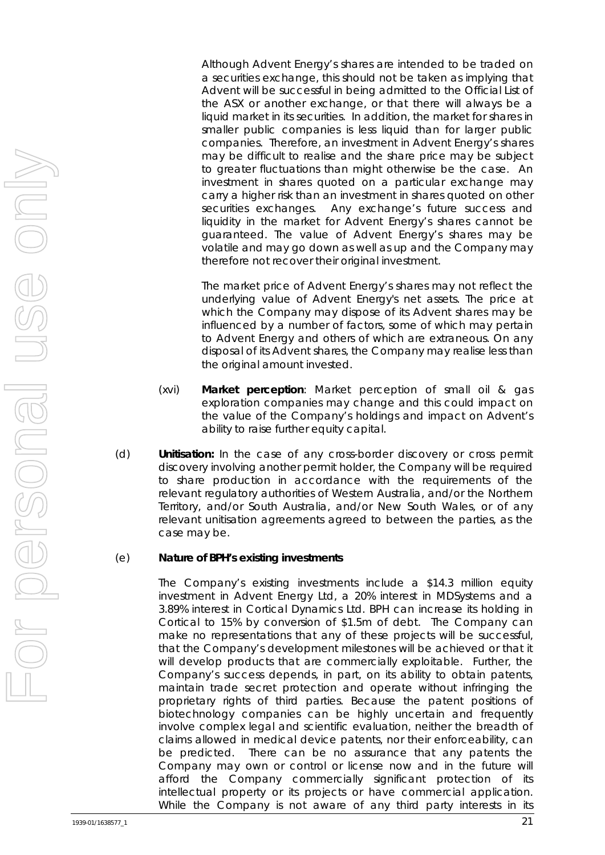Although Advent Energy's shares are intended to be traded on a securities exchange, this should not be taken as implying that Advent will be successful in being admitted to the Official List of the ASX or another exchange, or that there will always be a liquid market in its securities. In addition, the market for shares in smaller public companies is less liquid than for larger public companies. Therefore, an investment in Advent Energy's shares may be difficult to realise and the share price may be subject to greater fluctuations than might otherwise be the case. An investment in shares quoted on a particular exchange may carry a higher risk than an investment in shares quoted on other securities exchanges. Any exchange's future success and liquidity in the market for Advent Energy's shares cannot be guaranteed. The value of Advent Energy's shares may be volatile and may go down as well as up and the Company may therefore not recover their original investment.

The market price of Advent Energy's shares may not reflect the underlying value of Advent Energy's net assets. The price at which the Company may dispose of its Advent shares may be influenced by a number of factors, some of which may pertain to Advent Energy and others of which are extraneous. On any disposal of its Advent shares, the Company may realise less than the original amount invested.

- (xvi) **Market perception**: Market perception of small oil & gas exploration companies may change and this could impact on the value of the Company's holdings and impact on Advent's ability to raise further equity capital.
- (d) **Unitisation:** In the case of any cross-border discovery or cross permit discovery involving another permit holder, the Company will be required to share production in accordance with the requirements of the relevant regulatory authorities of Western Australia, and/or the Northern Territory, and/or South Australia, and/or New South Wales, or of any relevant unitisation agreements agreed to between the parties, as the case may be.

#### (e) **Nature of BPH's existing investments**

The Company's existing investments include a \$14.3 million equity investment in Advent Energy Ltd, a 20% interest in MDSystems and a 3.89% interest in Cortical Dynamics Ltd. BPH can increase its holding in Cortical to 15% by conversion of \$1.5m of debt. The Company can make no representations that any of these projects will be successful, that the Company's development milestones will be achieved or that it will develop products that are commercially exploitable. Further, the Company's success depends, in part, on its ability to obtain patents, maintain trade secret protection and operate without infringing the proprietary rights of third parties. Because the patent positions of biotechnology companies can be highly uncertain and frequently involve complex legal and scientific evaluation, neither the breadth of claims allowed in medical device patents, nor their enforceability, can be predicted. There can be no assurance that any patents the Company may own or control or license now and in the future will afford the Company commercially significant protection of its intellectual property or its projects or have commercial application. While the Company is not aware of any third party interests in its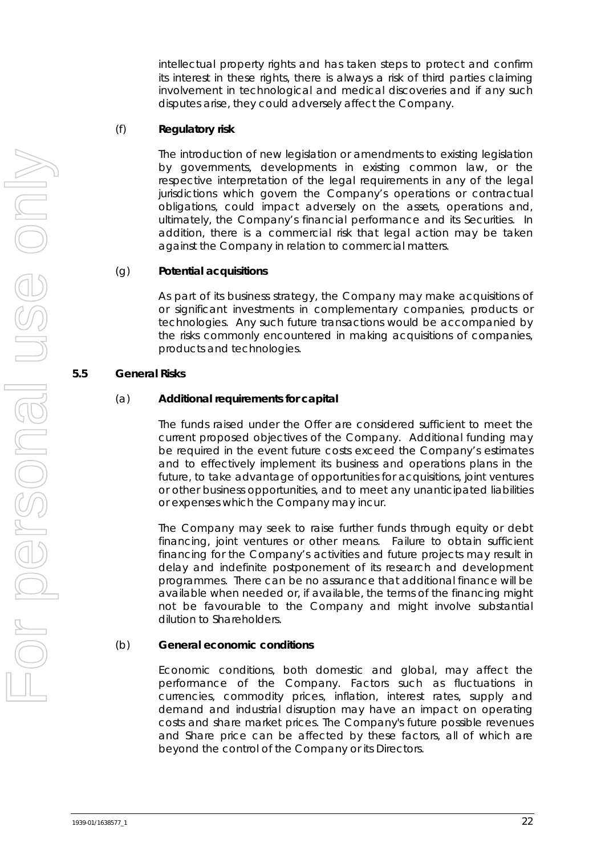intellectual property rights and has taken steps to protect and confirm its interest in these rights, there is always a risk of third parties claiming involvement in technological and medical discoveries and if any such disputes arise, they could adversely affect the Company.

#### (f) **Regulatory risk**

The introduction of new legislation or amendments to existing legislation by governments, developments in existing common law, or the respective interpretation of the legal requirements in any of the legal jurisdictions which govern the Company's operations or contractual obligations, could impact adversely on the assets, operations and, ultimately, the Company's financial performance and its Securities. In addition, there is a commercial risk that legal action may be taken against the Company in relation to commercial matters.

#### (g) **Potential acquisitions**

As part of its business strategy, the Company may make acquisitions of or significant investments in complementary companies, products or technologies. Any such future transactions would be accompanied by the risks commonly encountered in making acquisitions of companies, products and technologies.

#### **5.5 General Risks**

#### (a) **Additional requirements for capital**

The funds raised under the Offer are considered sufficient to meet the current proposed objectives of the Company. Additional funding may be required in the event future costs exceed the Company's estimates and to effectively implement its business and operations plans in the future, to take advantage of opportunities for acquisitions, joint ventures or other business opportunities, and to meet any unanticipated liabilities or expenses which the Company may incur.

The Company may seek to raise further funds through equity or debt financing, joint ventures or other means. Failure to obtain sufficient financing for the Company's activities and future projects may result in delay and indefinite postponement of its research and development programmes. There can be no assurance that additional finance will be available when needed or, if available, the terms of the financing might not be favourable to the Company and might involve substantial dilution to Shareholders.

#### (b) **General economic conditions**

Economic conditions, both domestic and global, may affect the performance of the Company. Factors such as fluctuations in currencies, commodity prices, inflation, interest rates, supply and demand and industrial disruption may have an impact on operating costs and share market prices. The Company's future possible revenues and Share price can be affected by these factors, all of which are beyond the control of the Company or its Directors.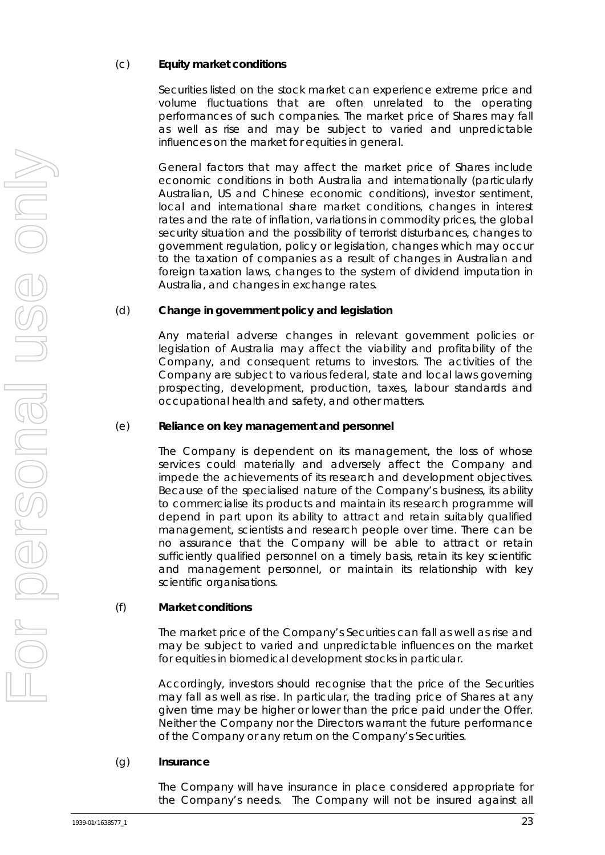## (c) **Equity market conditions**

Securities listed on the stock market can experience extreme price and volume fluctuations that are often unrelated to the operating performances of such companies. The market price of Shares may fall as well as rise and may be subject to varied and unpredictable influences on the market for equities in general.

General factors that may affect the market price of Shares include economic conditions in both Australia and internationally (particularly Australian, US and Chinese economic conditions), investor sentiment, local and international share market conditions, changes in interest rates and the rate of inflation, variations in commodity prices, the global security situation and the possibility of terrorist disturbances, changes to government regulation, policy or legislation, changes which may occur to the taxation of companies as a result of changes in Australian and foreign taxation laws, changes to the system of dividend imputation in Australia, and changes in exchange rates.

#### (d) **Change in government policy and legislation**

Any material adverse changes in relevant government policies or legislation of Australia may affect the viability and profitability of the Company, and consequent returns to investors. The activities of the Company are subject to various federal, state and local laws governing prospecting, development, production, taxes, labour standards and occupational health and safety, and other matters.

# (e) **Reliance on key management and personnel**

The Company is dependent on its management, the loss of whose services could materially and adversely affect the Company and impede the achievements of its research and development objectives. Because of the specialised nature of the Company's business, its ability to commercialise its products and maintain its research programme will depend in part upon its ability to attract and retain suitably qualified management, scientists and research people over time. There can be no assurance that the Company will be able to attract or retain sufficiently qualified personnel on a timely basis, retain its key scientific and management personnel, or maintain its relationship with key scientific organisations.

#### (f) **Market conditions**

The market price of the Company's Securities can fall as well as rise and may be subject to varied and unpredictable influences on the market for equities in biomedical development stocks in particular.

Accordingly, investors should recognise that the price of the Securities may fall as well as rise. In particular, the trading price of Shares at any given time may be higher or lower than the price paid under the Offer. Neither the Company nor the Directors warrant the future performance of the Company or any return on the Company's Securities.

#### (g) **Insurance**

The Company will have insurance in place considered appropriate for the Company's needs. The Company will not be insured against all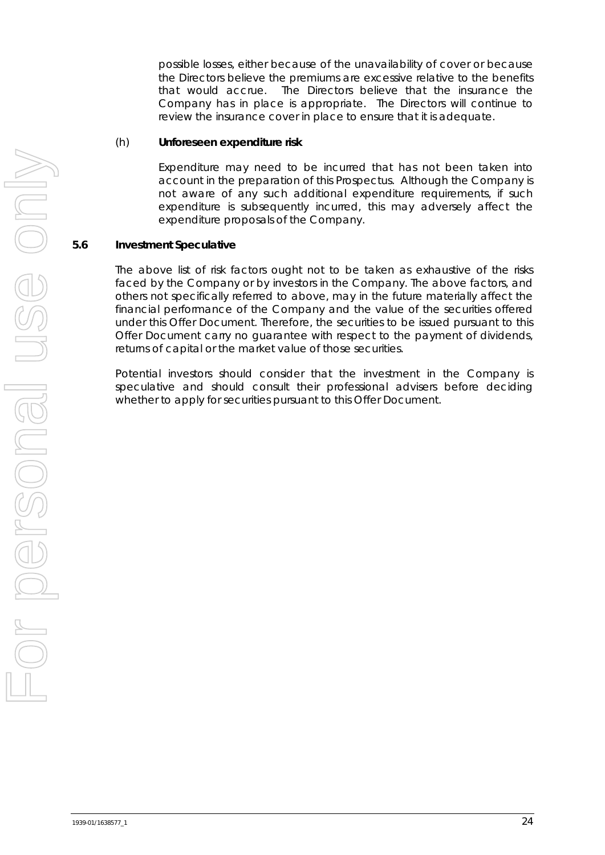possible losses, either because of the unavailability of cover or because the Directors believe the premiums are excessive relative to the benefits that would accrue. The Directors believe that the insurance the Company has in place is appropriate. The Directors will continue to review the insurance cover in place to ensure that it is adequate.

#### (h) **Unforeseen expenditure risk**

Expenditure may need to be incurred that has not been taken into account in the preparation of this Prospectus. Although the Company is not aware of any such additional expenditure requirements, if such expenditure is subsequently incurred, this may adversely affect the expenditure proposals of the Company.

#### **5.6 Investment Speculative**

The above list of risk factors ought not to be taken as exhaustive of the risks faced by the Company or by investors in the Company. The above factors, and others not specifically referred to above, may in the future materially affect the financial performance of the Company and the value of the securities offered under this Offer Document. Therefore, the securities to be issued pursuant to this Offer Document carry no guarantee with respect to the payment of dividends, returns of capital or the market value of those securities.

Potential investors should consider that the investment in the Company is speculative and should consult their professional advisers before deciding whether to apply for securities pursuant to this Offer Document.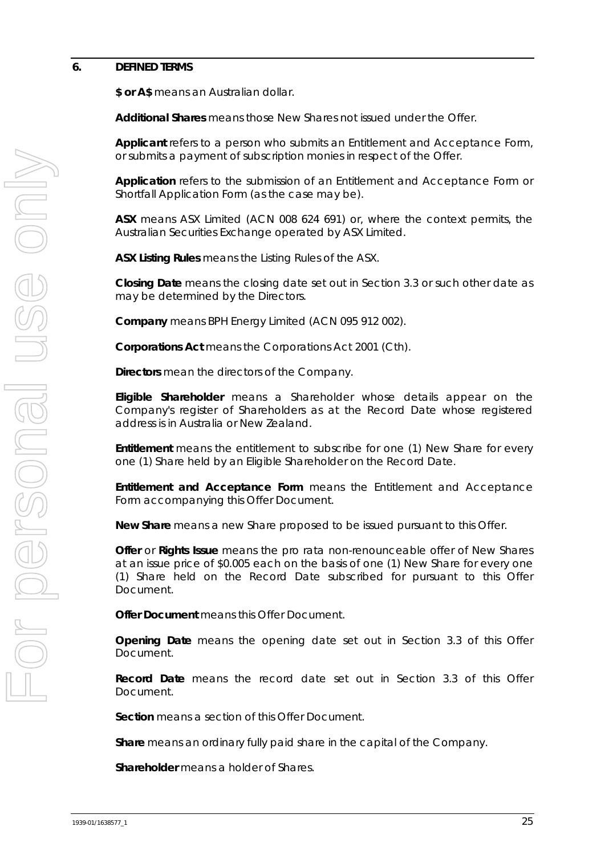#### <span id="page-26-0"></span>**6. DEFINED TERMS**

**\$ or A\$** means an Australian dollar.

**Additional Shares** means those New Shares not issued under the Offer.

**Applicant** refers to a person who submits an Entitlement and Acceptance Form, or submits a payment of subscription monies in respect of the Offer.

**Application** refers to the submission of an Entitlement and Acceptance Form or Shortfall Application Form (as the case may be).

**ASX** means ASX Limited (ACN 008 624 691) or, where the context permits, the Australian Securities Exchange operated by ASX Limited.

**ASX Listing Rules** means the Listing Rules of the ASX.

**Closing Date** means the closing date set out in Section [3.3](#page-6-0) or such other date as may be determined by the Directors.

**Company** means BPH Energy Limited (ACN 095 912 002).

**Corporations Act** means the *Corporations Act 2001* (Cth).

**Directors** mean the directors of the Company.

**Eligible Shareholder** means a Shareholder whose details appear on the Company's register of Shareholders as at the Record Date whose registered address is in Australia or New Zealand.

**Entitlement** means the entitlement to subscribe for one (1) New Share for every one (1) Share held by an Eligible Shareholder on the Record Date.

**Entitlement and Acceptance Form** means the Entitlement and Acceptance Form accompanying this Offer Document.

**New Share** means a new Share proposed to be issued pursuant to this Offer.

**Offer** or **Rights Issue** means the pro rata non-renounceable offer of New Shares at an issue price of \$0.005 each on the basis of one (1) New Share for every one (1) Share held on the Record Date subscribed for pursuant to this Offer Document.

**Offer Document** means this Offer Document.

**Opening Date** means the opening date set out in Section [3.3](#page-6-0) of this Offer Document.

**Record Date** means the record date set out in Section [3.3](#page-6-0) of this Offer Document.

**Section** means a section of this Offer Document.

**Share** means an ordinary fully paid share in the capital of the Company.

**Shareholder** means a holder of Shares.